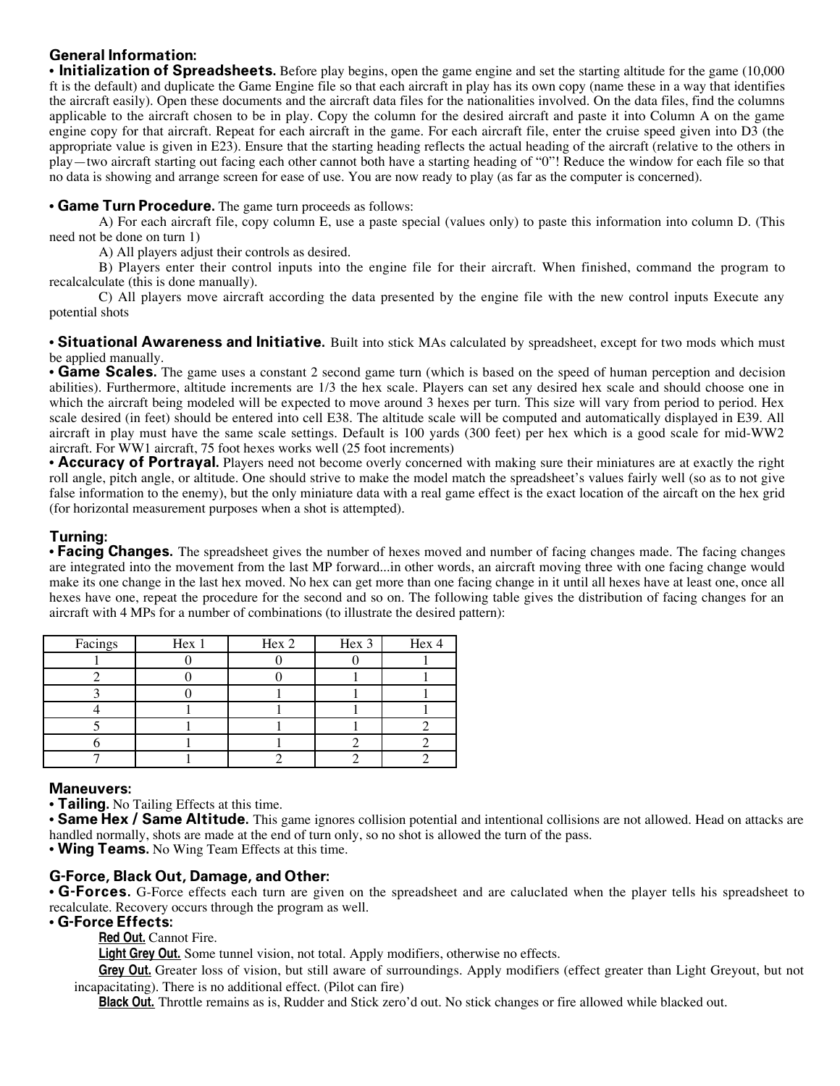## **General Information:**

• **Initialization of Spreadsheets.** Before play begins, open the game engine and set the starting altitude for the game (10,000 ft is the default) and duplicate the Game Engine file so that each aircraft in play has its own copy (name these in a way that identifies the aircraft easily). Open these documents and the aircraft data files for the nationalities involved. On the data files, find the columns applicable to the aircraft chosen to be in play. Copy the column for the desired aircraft and paste it into Column A on the game engine copy for that aircraft. Repeat for each aircraft in the game. For each aircraft file, enter the cruise speed given into D3 (the appropriate value is given in E23). Ensure that the starting heading reflects the actual heading of the aircraft (relative to the others in play—two aircraft starting out facing each other cannot both have a starting heading of "0"! Reduce the window for each file so that no data is showing and arrange screen for ease of use. You are now ready to play (as far as the computer is concerned).

### • **Game Turn Procedure.** The game turn proceeds as follows:

A) For each aircraft file, copy column E, use a paste special (values only) to paste this information into column D. (This need not be done on turn 1)

A) All players adjust their controls as desired.

B) Players enter their control inputs into the engine file for their aircraft. When finished, command the program to recalcalculate (this is done manually).

C) All players move aircraft according the data presented by the engine file with the new control inputs Execute any potential shots

• **Situational Awareness and Initiative.** Built into stick MAs calculated by spreadsheet, except for two mods which must be applied manually.

• **Game Scales.** The game uses a constant 2 second game turn (which is based on the speed of human perception and decision abilities). Furthermore, altitude increments are 1/3 the hex scale. Players can set any desired hex scale and should choose one in which the aircraft being modeled will be expected to move around 3 hexes per turn. This size will vary from period to period. Hex scale desired (in feet) should be entered into cell E38. The altitude scale will be computed and automatically displayed in E39. All aircraft in play must have the same scale settings. Default is 100 yards (300 feet) per hex which is a good scale for mid-WW2 aircraft. For WW1 aircraft, 75 foot hexes works well (25 foot increments)

• **Accuracy of Portrayal.** Players need not become overly concerned with making sure their miniatures are at exactly the right roll angle, pitch angle, or altitude. One should strive to make the model match the spreadsheet's values fairly well (so as to not give false information to the enemy), but the only miniature data with a real game effect is the exact location of the aircaft on the hex grid (for horizontal measurement purposes when a shot is attempted).

## **Turning:**

• **Facing Changes.** The spreadsheet gives the number of hexes moved and number of facing changes made. The facing changes are integrated into the movement from the last MP forward...in other words, an aircraft moving three with one facing change would make its one change in the last hex moved. No hex can get more than one facing change in it until all hexes have at least one, once all hexes have one, repeat the procedure for the second and so on. The following table gives the distribution of facing changes for an aircraft with 4 MPs for a number of combinations (to illustrate the desired pattern):

| Facings | Hex 1 | Hex 2 | Hex 3 | Hex 4 |
|---------|-------|-------|-------|-------|
|         |       |       |       |       |
|         |       |       |       |       |
|         |       |       |       |       |
|         |       |       |       |       |
|         |       |       |       |       |
|         |       |       |       |       |
|         |       |       |       |       |

### **Maneuvers:**

• **Tailing.** No Tailing Effects at this time.

• **Same Hex / Same Altitude.** This game ignores collision potential and intentional collisions are not allowed. Head on attacks are handled normally, shots are made at the end of turn only, so no shot is allowed the turn of the pass.

• **Wing Teams.** No Wing Team Effects at this time.

### **G-Force, Black Out, Damage, and Other:**

• **G-Forces.** G-Force effects each turn are given on the spreadsheet and are caluclated when the player tells his spreadsheet to recalculate. Recovery occurs through the program as well.

### • **G-Force Effects:**

 **Red Out.** Cannot Fire.

 **Light Grey Out.** Some tunnel vision, not total. Apply modifiers, otherwise no effects.

 **Grey Out.** Greater loss of vision, but still aware of surroundings. Apply modifiers (effect greater than Light Greyout, but not incapacitating). There is no additional effect. (Pilot can fire)

 **Black Out.** Throttle remains as is, Rudder and Stick zero'd out. No stick changes or fire allowed while blacked out.